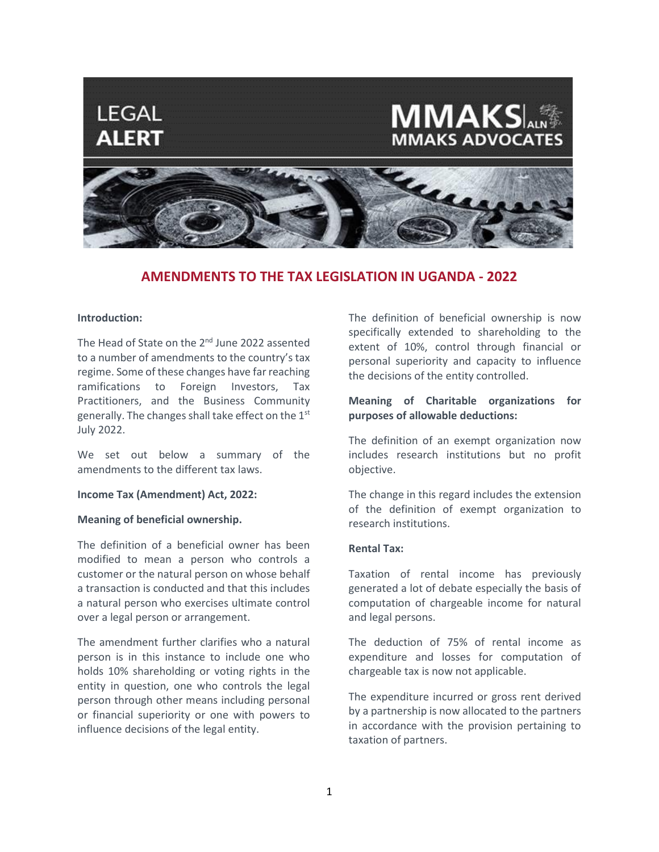

# **AMENDMENTS TO THE TAX LEGISLATION IN UGANDA - 2022**

### **Introduction:**

The Head of State on the 2<sup>nd</sup> June 2022 assented to a number of amendments to the country's tax regime. Some of these changes have far reaching ramifications to Foreign Investors, Tax Practitioners, and the Business Community generally. The changes shall take effect on the 1st July 2022.

We set out below a summary of the amendments to the different tax laws.

#### **Income Tax (Amendment) Act, 2022:**

#### **Meaning of beneficial ownership.**

The definition of a beneficial owner has been modified to mean a person who controls a customer or the natural person on whose behalf a transaction is conducted and that this includes a natural person who exercises ultimate control over a legal person or arrangement.

The amendment further clarifies who a natural person is in this instance to include one who holds 10% shareholding or voting rights in the entity in question, one who controls the legal person through other means including personal or financial superiority or one with powers to influence decisions of the legal entity.

The definition of beneficial ownership is now specifically extended to shareholding to the extent of 10%, control through financial or personal superiority and capacity to influence the decisions of the entity controlled.

## **Meaning of Charitable organizations for purposes of allowable deductions:**

The definition of an exempt organization now includes research institutions but no profit objective.

The change in this regard includes the extension of the definition of exempt organization to research institutions.

### **Rental Tax:**

Taxation of rental income has previously generated a lot of debate especially the basis of computation of chargeable income for natural and legal persons.

The deduction of 75% of rental income as expenditure and losses for computation of chargeable tax is now not applicable.

The expenditure incurred or gross rent derived by a partnership is now allocated to the partners in accordance with the provision pertaining to taxation of partners.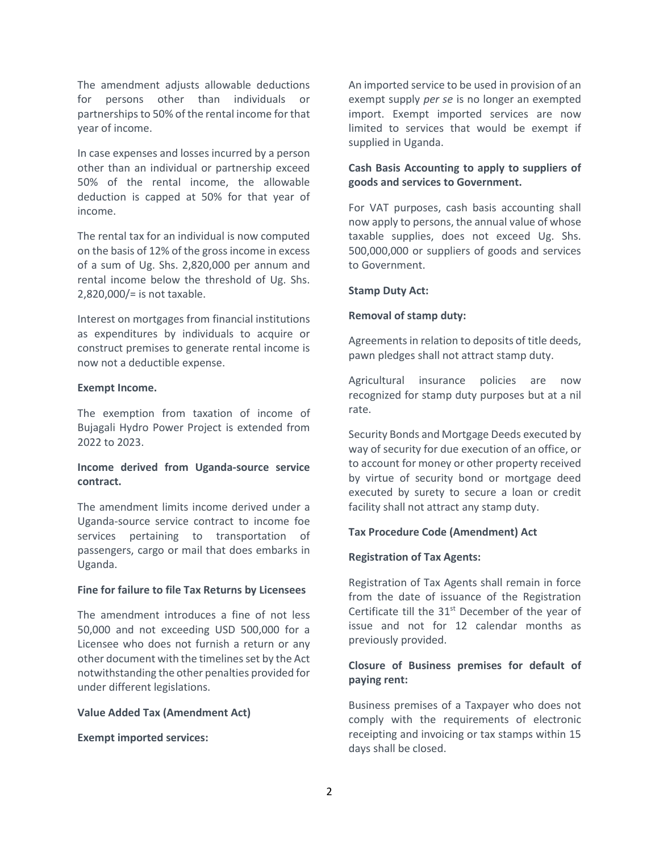The amendment adjusts allowable deductions for persons other than individuals or partnerships to 50% of the rental income for that year of income.

In case expenses and losses incurred by a person other than an individual or partnership exceed 50% of the rental income, the allowable deduction is capped at 50% for that year of income.

The rental tax for an individual is now computed on the basis of 12% of the gross income in excess of a sum of Ug. Shs. 2,820,000 per annum and rental income below the threshold of Ug. Shs. 2,820,000/= is not taxable.

Interest on mortgages from financial institutions as expenditures by individuals to acquire or construct premises to generate rental income is now not a deductible expense.

### **Exempt Income.**

The exemption from taxation of income of Bujagali Hydro Power Project is extended from 2022 to 2023.

## **Income derived from Uganda-source service contract.**

The amendment limits income derived under a Uganda-source service contract to income foe services pertaining to transportation of passengers, cargo or mail that does embarks in Uganda.

### **Fine for failure to file Tax Returns by Licensees**

The amendment introduces a fine of not less 50,000 and not exceeding USD 500,000 for a Licensee who does not furnish a return or any other document with the timelines set by the Act notwithstanding the other penalties provided for under different legislations.

#### **Value Added Tax (Amendment Act)**

**Exempt imported services:**

An imported service to be used in provision of an exempt supply *per se* is no longer an exempted import. Exempt imported services are now limited to services that would be exempt if supplied in Uganda.

## **Cash Basis Accounting to apply to suppliers of goods and services to Government.**

For VAT purposes, cash basis accounting shall now apply to persons, the annual value of whose taxable supplies, does not exceed Ug. Shs. 500,000,000 or suppliers of goods and services to Government.

### **Stamp Duty Act:**

### **Removal of stamp duty:**

Agreements in relation to deposits of title deeds, pawn pledges shall not attract stamp duty.

Agricultural insurance policies are now recognized for stamp duty purposes but at a nil rate.

Security Bonds and Mortgage Deeds executed by way of security for due execution of an office, or to account for money or other property received by virtue of security bond or mortgage deed executed by surety to secure a loan or credit facility shall not attract any stamp duty.

## **Tax Procedure Code (Amendment) Act**

### **Registration of Tax Agents:**

Registration of Tax Agents shall remain in force from the date of issuance of the Registration Certificate till the  $31<sup>st</sup>$  December of the year of issue and not for 12 calendar months as previously provided.

## **Closure of Business premises for default of paying rent:**

Business premises of a Taxpayer who does not comply with the requirements of electronic receipting and invoicing or tax stamps within 15 days shall be closed.